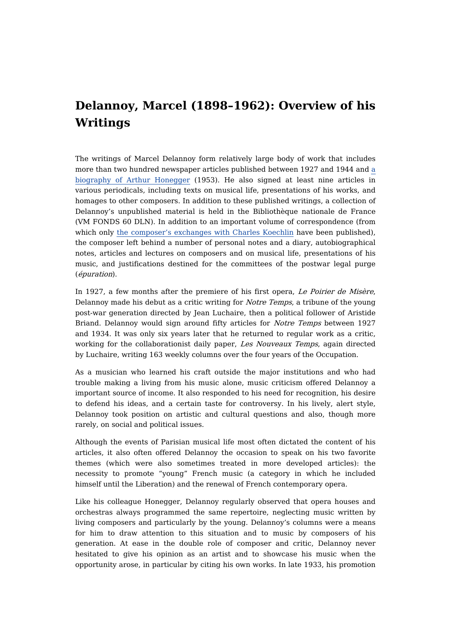## **Delannoy, Marcel (1898–1962): Overview of his Writings**

The writings of Marcel Delannoy form relatively large body of work that includes more than two hundred [newspaper](https://dicteco.huma-num.fr/view?rql=Any%20W%20ORDERBY%20T%20WHERE%20W%20is%20Book%2C%20W%20title%20T%2C%20C%20contribution_of%20W%20%2CC%20contributor%20A%2C%20A%20eid%2025240) articles published between 1927 and 1944 and a biography of Arthur Honegger (1953). He also signed at least nine articles in various periodicals, including texts on musical life, presentations of his works, and homages to other composers. In addition to these published writings, a collection of Delannoy's unpublished material is held in the Bibliothèque nationale de France (VM FONDS 60 DLN). In addition to an important volume of correspondence (from which only the [composer's](https://dicteco.huma-num.fr/anthology/25291) exchanges with Charles Koechlin have been published), the composer left behind a number of personal notes and a diary, autobiographical notes, articles and lectures on composers and on musical life, presentations of his music, and justifications destined for the committees of the postwar legal purge (épuration).

In 1927, a few months after the premiere of his first opera, Le Poirier de Misère, Delannoy made his debut as a critic writing for Notre Temps, a tribune of the young post-war generation directed by Jean Luchaire, then a political follower of Aristide Briand. Delannoy would sign around fifty articles for Notre Temps between 1927 and 1934. It was only six years later that he returned to regular work as a critic, working for the collaborationist daily paper, Les Nouveaux Temps, again directed by Luchaire, writing 163 weekly columns over the four years of the Occupation.

As a musician who learned his craft outside the major institutions and who had trouble making a living from his music alone, music criticism offered Delannoy a important source of income. It also responded to his need for recognition, his desire to defend his ideas, and a certain taste for controversy. In his lively, alert style, Delannoy took position on artistic and cultural questions and also, though more rarely, on social and political issues.

Although the events of Parisian musical life most often dictated the content of his articles, it also often offered Delannoy the occasion to speak on his two favorite themes (which were also sometimes treated in more developed articles): the necessity to promote "young" French music (a category in which he included himself until the Liberation) and the renewal of French contemporary opera.

Like his colleague Honegger, Delannoy regularly observed that opera houses and orchestras always programmed the same repertoire, neglecting music written by living composers and particularly by the young. Delannoy's columns were a means for him to draw attention to this situation and to music by composers of his generation. At ease in the double role of composer and critic, Delannoy never hesitated to give his opinion as an artist and to showcase his music when the opportunity arose, in particular by citing his own works. In late 1933, his promotion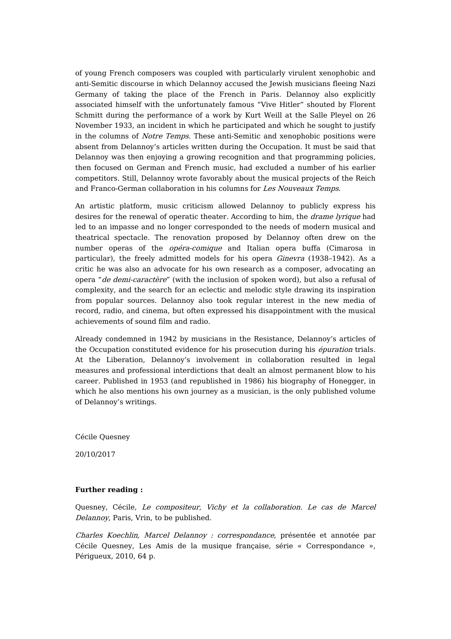of young French composers was coupled with particularly virulent xenophobic and anti-Semitic discourse in which Delannoy accused the Jewish musicians fleeing Nazi Germany of taking the place of the French in Paris. Delannoy also explicitly associated himself with the unfortunately famous "Vive Hitler" shouted by Florent Schmitt during the performance of a work by Kurt Weill at the Salle Pleyel on 26 November 1933, an incident in which he participated and which he sought to justify in the columns of Notre Temps. These anti-Semitic and xenophobic positions were absent from Delannoy's articles written during the Occupation. It must be said that Delannoy was then enjoying a growing recognition and that programming policies, then focused on German and French music, had excluded a number of his earlier competitors. Still, Delannoy wrote favorably about the musical projects of the Reich and Franco-German collaboration in his columns for Les Nouveaux Temps.

An artistic platform, music criticism allowed Delannoy to publicly express his desires for the renewal of operatic theater. According to him, the drame lyrique had led to an impasse and no longer corresponded to the needs of modern musical and theatrical spectacle. The renovation proposed by Delannoy often drew on the number operas of the opéra-comique and Italian opera buffa (Cimarosa in particular), the freely admitted models for his opera *Ginevra* (1938-1942). As a critic he was also an advocate for his own research as a composer, advocating an opera "de demi-caractère" (with the inclusion of spoken word), but also a refusal of complexity, and the search for an eclectic and melodic style drawing its inspiration from popular sources. Delannoy also took regular interest in the new media of record, radio, and cinema, but often expressed his disappointment with the musical achievements of sound film and radio.

Already condemned in 1942 by musicians in the Resistance, Delannoy's articles of the Occupation constituted evidence for his prosecution during his *épuration* trials. At the Liberation, Delannoy's involvement in collaboration resulted in legal measures and professional interdictions that dealt an almost permanent blow to his career. Published in 1953 (and republished in 1986) his biography of Honegger, in which he also mentions his own journey as a musician, is the only published volume of Delannoy's writings.

Cécile Quesney

20/10/2017

## **Further reading :**

Quesney, Cécile, Le compositeur, Vichy et la collaboration. Le cas de Marcel Delannoy, Paris, Vrin, to be published.

Charles Koechlin, Marcel Delannoy : correspondance, présentée et annotée par Cécile Quesney, Les Amis de la musique française, série « Correspondance », Périgueux, 2010, 64 p.